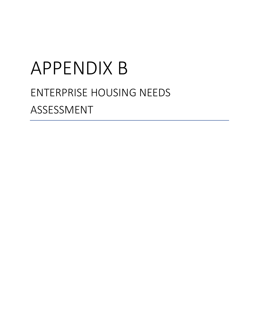# APPENDIX B ENTERPRISE HOUSING NEEDS ASSESSMENT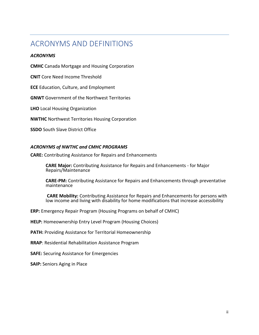### <span id="page-1-0"></span>ACRONYMS AND DEFINITIONS

#### *ACRONYMS*

**CMHC** Canada Mortgage and Housing Corporation

**CNIT** Core Need Income Threshold

**ECE** Education, Culture, and Employment

**GNWT** Government of the Northwest Territories

**LHO** Local Housing Organization

**NWTHC** Northwest Territories Housing Corporation

**SSDO** South Slave District Office

#### *ACRONYMS of NWTHC and CMHC PROGRAMS*

**CARE:** Contributing Assistance for Repairs and Enhancements

**CARE Major:** Contributing Assistance for Repairs and Enhancements - for Major Repairs/Maintenance

**CARE-PM:** Contributing Assistance for Repairs and Enhancements through preventative maintenance

**CARE Mobility:** Contributing Assistance for Repairs and Enhancements for persons with low income and living with disability for home modifications that increase accessibility

**ERP:** Emergency Repair Program (Housing Programs on behalf of CMHC)

**HELP:** Homeownership Entry Level Program (Housing Choices)

**PATH:** Providing Assistance for Territorial Homeownership

**RRAP**: Residential Rehabilitation Assistance Program

**SAFE:** Securing Assistance for Emergencies

**SAIP: Seniors Aging in Place**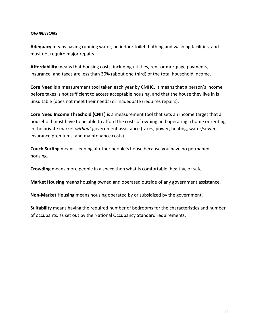#### *DEFINITIONS*

**Adequacy** means having running water, an indoor toilet, bathing and washing facilities, and must not require major repairs.

**Affordability** means that housing costs, including utilities, rent or mortgage payments, insurance, and taxes are less than 30% (about one third) of the total household income.

**Core Need** is a measurement tool taken each year by CMHC**.** It means that a person's income before taxes is not sufficient to access acceptable housing, and that the house they live in is unsuitable (does not meet their needs) or inadequate (requires repairs).

**Core Need Income Threshold (CNIT)** is a measurement tool that sets an income target that a household must have to be able to afford the costs of owning and operating a home or renting in the private market *without* government assistance (taxes, power, heating, water/sewer, insurance premiums, and maintenance costs).

**Couch Surfing** means sleeping at other people's house because you have no permanent housing.

**Crowding** means more people in a space then what is comfortable, healthy, or safe.

**Market Housing** means housing owned and operated outside of any government assistance.

**Non-Market Housing** means housing operated by or subsidized by the government.

**Suitability** means having the required number of bedrooms for the characteristics and number of occupants, as set out by the National Occupancy Standard requirements.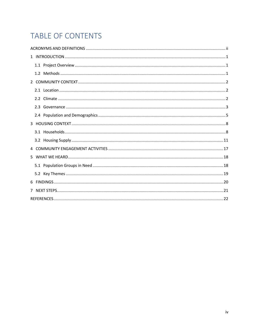# TABLE OF CONTENTS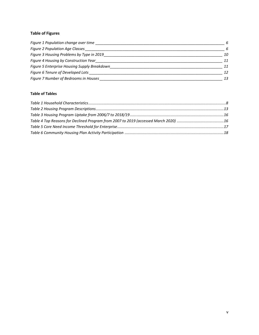#### **Table of Figures**

| Figure 1 Population change over time         | 6  |
|----------------------------------------------|----|
| <b>Figure 2 Population Age Classes</b>       | 6  |
| Figure 3 Housing Problems by Type in 2019    | 10 |
| Figure 4 Housing by Construction Year        | 11 |
| Figure 5 Enterprise Housing Supply Breakdown | 11 |
| Figure 6 Tenure of Developed Lots            | 12 |
| Figure 7 Number of Bedrooms in Houses        | 13 |

#### **Table of Tables**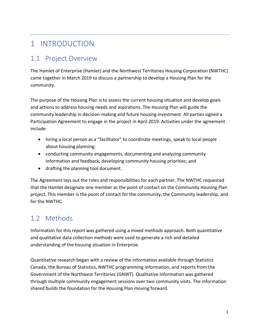# <span id="page-5-0"></span>1 INTRODUCTION

### <span id="page-5-1"></span>1.1 Project Overview

The Hamlet of Enterprise (Hamlet) and the Northwest Territories Housing Corporation (NWTHC) came together in March 2019 to discuss a partnership to develop a Housing Plan for the community.

The purpose of the Housing Plan is to assess the current housing situation and develop goals and actions to address housing needs and aspirations. The Housing Plan will guide the community leadership in decision-making and future housing investment. All parties signed a Participation Agreement to engage in the project in April 2019. Activities under the agreement include:

- hiring a local person as a "facilitator" to coordinate meetings, speak to local people about housing planning;
- conducting community engagements, documenting and analyzing community information and feedback, developing community housing priorities; and
- drafting the planning tool document.

The Agreement lays out the roles and responsibilities for each partner. The NWTHC requested that the Hamlet designate one member as the point of contact on the Community Housing Plan project. This member is the point of contact for the community, the Community leadership, and for the NWTHC.

# <span id="page-5-2"></span>1.2 Methods

Information for this report was gathered using a mixed methods approach. Both quantitative and qualitative data collection methods were used to generate a rich and detailed understanding of the housing situation in Enterprise.

Quantitative research began with a review of the information available through Statistics Canada, the Bureau of Statistics, NWTHC programming information, and reports from the Government of the Northwest Territories (GNWT). Qualitative information was gathered through multiple community engagement sessions over two community visits. The information shared builds the foundation for the Housing Plan moving forward.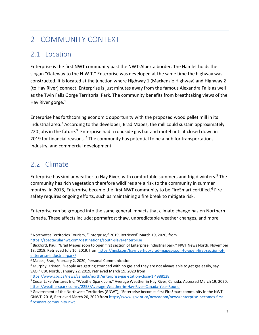# <span id="page-6-0"></span>2 COMMUNITY CONTEXT

### <span id="page-6-1"></span>2.1 Location

Enterprise is the first NWT community past the NWT-Alberta border. The Hamlet holds the slogan "Gateway to the N.W.T." Enterprise was developed at the same time the highway was constructed. It is located at the junction where Highway 1 (Mackenzie Highway) and Highway 2 (to Hay River) connect. Enterprise is just minutes away from the famous Alexandra Falls as well as the Twin Falls Gorge Territorial Park. The community benefits from breathtaking views of the Hay River gorge.<sup>1</sup>

Enterprise has forthcoming economic opportunity with the proposed wood pellet mill in its industrial area.<sup>2</sup> According to the developer, Brad Mapes, the mill could sustain approximately 220 jobs in the future.<sup>3</sup> Enterprise had a roadside gas bar and motel until it closed down in 2019 for financial reasons.<sup>4</sup> The community has potential to be a hub for transportation, industry, and commercial development.

### <span id="page-6-2"></span>2.2 Climate

Enterprise has similar weather to Hay River, with comfortable summers and frigid winters. <sup>5</sup> The community has rich vegetation therefore wildfires are a risk to the community in summer months. In 2018, Enterprise became the first NWT community to be FireSmart certified.<sup>6</sup> Fire safety requires ongoing efforts, such as maintaining a fire break to mitigate risk.

Enterprise can be grouped into the same general impacts that climate change has on Northern Canada. These affects include; permafrost thaw, unpredictable weather changes, and more

<https://www.cbc.ca/news/canada/north/enterprise-gas-station-close-1.4988128>

<sup>1</sup> Northwest Territories Tourism, "Enterprise," 2019, Retrieved` March 19, 2020, from <https://spectacularnwt.com/destinations/south-slave/enterprise>

<sup>&</sup>lt;sup>2</sup> Bickford, Paul, "Brad Mapes soon to open first section of Enterprise industrial park," NWT News North, November 18, 2019, Retrieved July 16, 2019, from [https://nnsl.com/hayriverhub/brad-mapes-soon-to-open-first-section-of](https://nnsl.com/hayriverhub/brad-mapes-soon-to-open-first-section-of-enterprise-industrial-park/)[enterprise-industrial-park/](https://nnsl.com/hayriverhub/brad-mapes-soon-to-open-first-section-of-enterprise-industrial-park/) 

<sup>3</sup> Mapes, Brad, February 2, 2020, Personal Communication.

<sup>4</sup> Murphy, Kristen, "People are getting stranded with no gas and they are not always able to get gas easily, say SAO," CBC North, January 22, 2019, retrieved March 19, 2020 from

<sup>5</sup> Cedar Lake Ventures Inc, "WeatherSpark.com," Average Weather in Hay River, Canada. Accessed March 19, 2020, <https://weatherspark.com/y/2258/Average-Weather-in-Hay-River-Canada-Year-Round>

<sup>6</sup> Government of the Northwest Territories (GNWT), "Enterprise becomes first FireSmart community in the NWT," GNWT, 2018, Retrieved March 20, 2020 from [https://www.gov.nt.ca/newsroom/news/enterprise-becomes-first](https://www.gov.nt.ca/newsroom/news/enterprise-becomes-first-firesmart-community-nwt)[firesmart-community-nwt](https://www.gov.nt.ca/newsroom/news/enterprise-becomes-first-firesmart-community-nwt)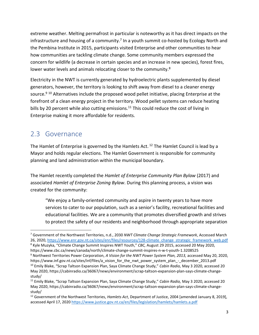extreme weather. Melting permafrost in particular is noteworthy as it has direct impacts on the infrastructure and housing of a community.<sup>7</sup> In a youth summit co-hosted by Ecology North and the Pembina Institute in 2015, participants visited Enterprise and other communities to hear how communities are tackling climate change. Some community members expressed the concern for wildlife (a decrease in certain species and an increase in new species), forest fires, lower water levels and animals relocating closer to the community.<sup>8</sup>

Electricity in the NWT is currently generated by hydroelectric plants supplemented by diesel generators, however, the territory is looking to shift away from diesel to a cleaner energy source.<sup>9 10</sup> Alternatives include the proposed wood pellet initiative, placing Enterprise at the forefront of a clean energy project in the territory. Wood pellet systems can reduce heating bills by 20 percent while also cutting emissions.<sup>11</sup> This could reduce the cost of living in Enterprise making it more affordable for residents.

### <span id="page-7-0"></span>2.3 Governance

The Hamlet of Enterprise is governed by the Hamlets Act.<sup>12</sup> The Hamlet Council is lead by a Mayor and holds regular elections. The Hamlet Government is responsible for community planning and land administration within the municipal boundary.

The Hamlet recently completed the *Hamlet of Enterprise Community Plan Bylaw* (2017) and associated *Hamlet of Enterprise Zoning Bylaw*. During this planning process, a vision was created for the community:

"We enjoy a family-oriented community and aspire in twenty years to have more services to cater to our population, such as a senior's facility, recreational facilities and educational facilities. We are a community that promotes diversified growth and strives to protect the safety of our residents and neighborhood through appropriate separation

<sup>7</sup> Government of the Northwest Territories, n.d., 2030 *NWT Climate Change Strategic Framework*, Accessed March 26, 2020, [https://www.enr.gov.nt.ca/sites/enr/files/resources/128-climate\\_change\\_strategic\\_framework\\_web.pdf](https://www.enr.gov.nt.ca/sites/enr/files/resources/128-climate_change_strategic_framework_web.pdf)

<sup>8</sup> Kyle Muzyka, "Climate Change Summit Inspires NWT Youth," *CBC,* August 29 2015, accessed 20 May 2020, https://www.cbc.ca/news/canada/north/climate-change-summit-inspires-n-w-t-youth-1.3208525

<sup>9</sup> Northwest Territories Power Corporation, *A Vision for the NWT Power System Plan, 2013,* accessed May 20, 2020, https://www.inf.gov.nt.ca/sites/inf/files/a\_vision\_for\_the\_nwt\_power\_system\_plan\_-\_december\_2013.pdf <sup>10</sup> Emily Blake, "Scrap Taltson Expansion Plan, Saya Climate Change Study," *Cabin Radio,* May 3 2020, accessed 20 May 2020, https://cabinradio.ca/36067/news/environment/scrap-taltson-expansion-plan-says-climate-changestudy/

<sup>11</sup> Emily Blake, "Scrap Taltson Expansion Plan, Saya Climate Change Study," *Cabin Radio,* May 3 2020, accessed 20 May 2020, https://cabinradio.ca/36067/news/environment/scrap-taltson-expansion-plan-says-climate-changestudy/

<sup>12</sup> Government of the Northwest Territories, *Hamlets Act*, Department of Justice, 2004 [amended January 8, 2019], accessed April 17, 2020<https://www.justice.gov.nt.ca/en/files/legislation/hamlets/hamlets.a.pdf>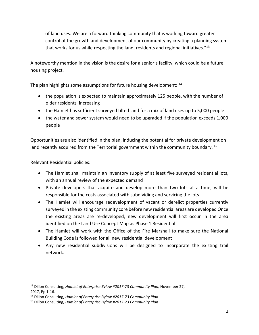of land uses. We are a forward thinking community that is working toward greater control of the growth and development of our community by creating a planning system that works for us while respecting the land, residents and regional initiatives."<sup>13</sup>

A noteworthy mention in the vision is the desire for a senior's facility, which could be a future housing project.

The plan highlights some assumptions for future housing development: <sup>14</sup>

- the population is expected to maintain approximately 125 people, with the number of older residents increasing
- the Hamlet has sufficient surveyed tilted land for a mix of land uses up to 5,000 people
- the water and sewer system would need to be upgraded if the population exceeds 1,000 people

Opportunities are also identified in the plan, inducing the potential for private development on land recently acquired from the Territorial government within the community boundary.  $^{15}$ 

Relevant Residential policies:

- The Hamlet shall maintain an inventory supply of at least five surveyed residential lots, with an annual review of the expected demand
- Private developers that acquire and develop more than two lots at a time, will be responsible for the costs associated with subdividing and servicing the lots
- The Hamlet will encourage redevelopment of vacant or derelict properties currently surveyed in the existing community core before new residential areas are developed Once the existing areas are re-developed, new development will first occur in the area identified on the Land Use Concept Map as Phase 1 Residential
- The Hamlet will work with the Office of the Fire Marshall to make sure the National Building Code is followed for all new residential development
- Any new residential subdivisions will be designed to incorporate the existing trail network.

<sup>13</sup> Dillon Consulting, *Hamlet of Enterprise Bylaw #2017-73 Community Plan,* November 27, 2017, Pp 1-16.

<sup>14</sup> Dillon Consulting, *Hamlet of Enterprise Bylaw #2017-73 Community Plan*

<sup>15</sup> Dillon Consulting, *Hamlet of Enterprise Bylaw #2017-73 Community Plan*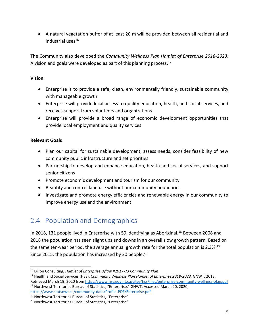• A natural vegetation buffer of at least 20 m will be provided between all residential and industrial uses<sup>16</sup>

The Community also developed the *Community Wellness Plan Hamlet of Enterprise 2018-2023*. A vision and goals were developed as part of this planning process.<sup>17</sup>

#### **Vision**

- Enterprise is to provide a safe, clean, environmentally friendly, sustainable community with manageable growth
- Enterprise will provide local access to quality education, health, and social services, and receives support from volunteers and organizations
- Enterprise will provide a broad range of economic development opportunities that provide local employment and quality services

#### **Relevant Goals**

- Plan our capital for sustainable development, assess needs, consider feasibility of new community public infrastructure and set priorities
- Partnership to develop and enhance education, health and social services, and support senior citizens
- Promote economic development and tourism for our community
- Beautify and control land use without our community boundaries
- Investigate and promote energy efficiencies and renewable energy in our community to improve energy use and the environment

# <span id="page-9-0"></span>2.4 Population and Demographics

In 2018, 131 people lived in Enterprise with 59 identifying as Aboriginal.<sup>18</sup> Between 2008 and 2018 the population has seen slight ups and downs in an overall slow growth pattern. Based on the same ten-year period, the average annual growth rate for the total population is 2.3%.<sup>19</sup> Since 2015, the population has increased by 20 people.<sup>20</sup>

<sup>16</sup> Dillon Consulting, *Hamlet of Enterprise Bylaw #2017-73 Community Plan*

<sup>17</sup> Health and Social Services (HSS), C*ommunity Wellness Plan Hamlet of Enterprise 2018-2023,* GNWT, 2018, Retrieved March 19, 2020 fro[m https://www.hss.gov.nt.ca/sites/hss/files/enterprise-community-wellness-plan.pdf](https://www.hss.gov.nt.ca/sites/hss/files/enterprise-community-wellness-plan.pdf) <sup>18</sup> Northwest Territories Bureau of Statistics, "Enterprise," GNWT, Accessed March 20, 2020, <https://www.statsnwt.ca/community-data/Profile-PDF/Enterprise.pdf>

<sup>19</sup> Northwest Territories Bureau of Statistics, "Enterprise"

<sup>20</sup> Northwest Territories Bureau of Statistics, "Enterprise"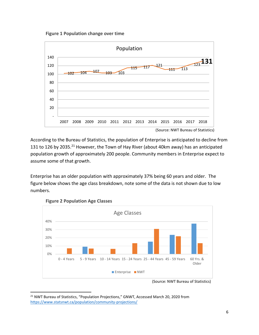**Figure 1 Population change over time** 

<span id="page-10-0"></span>

According to the Bureau of Statistics, the population of Enterprise is anticipated to decline from 131 to 126 by 2035.<sup>21</sup> However, the Town of Hay River (about 40km away) has an anticipated population growth of approximately 200 people. Community members in Enterprise expect to assume some of that growth.

Enterprise has an older population with approximately 37% being 60 years and older. The figure below shows the age class breakdown, note some of the data is not shown due to low numbers.

<span id="page-10-1"></span>

**Figure 2 Population Age Classes** 

(Source: NWT Bureau of Statistics)

<sup>&</sup>lt;sup>21</sup> NWT Bureau of Statistics, "Population Projections," GNWT, Accessed March 20, 2020 from <https://www.statsnwt.ca/population/community-projections/>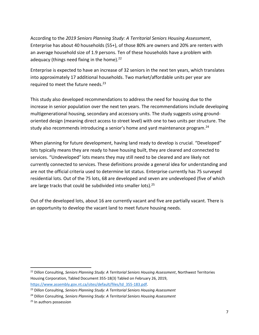According to the *2019 Seniors Planning Study: A Territorial Seniors Housing Assessment*, Enterprise has about 40 households (55+), of those 80% are owners and 20% are renters with an average household size of 1.9 persons. Ten of these households have a problem with adequacy (things need fixing in the home).<sup>22</sup>

Enterprise is expected to have an increase of 32 seniors in the next ten years, which translates into approximately 17 additional households. Two market/affordable units per year are required to meet the future needs.<sup>23</sup>

This study also developed recommendations to address the need for housing due to the increase in senior population over the next ten years. The recommendations include developing multigenerational housing, secondary and accessory units. The study suggests using groundoriented design (meaning direct access to street level) with one to two units per structure. The study also recommends introducing a senior's home and yard maintenance program.<sup>24</sup>

When planning for future development, having land ready to develop is crucial. "Developed" lots typically means they are ready to have housing built, they are cleared and connected to services. "Undeveloped" lots means they may still need to be cleared and are likely not currently connected to services. These definitions provide a general idea for understanding and are not the official criteria used to determine lot status. Enterprise currently has 75 surveyed residential lots. Out of the 75 lots, 68 are developed and seven are undeveloped (five of which are large tracks that could be subdivided into smaller lots).<sup>25</sup>

Out of the developed lots, about 16 are currently vacant and five are partially vacant. There is an opportunity to develop the vacant land to meet future housing needs.

<sup>22</sup> Dillon Consulting, *Seniors Planning Study: A Territorial Seniors Housing Assessment*, Northwest Territories Housing Corporation, Tabled Document 355-18(3) Tabled on February 26, 2019, [https://www.assembly.gov.nt.ca/sites/default/files/td\\_355-183.pdf.](https://www.assembly.gov.nt.ca/sites/default/files/td_355-183.pdf)

<sup>23</sup> Dillon Consulting, *Seniors Planning Study: A Territorial Seniors Housing Assessment*

<sup>24</sup> Dillon Consulting, *Seniors Planning Study: A Territorial Seniors Housing Assessment*

<sup>&</sup>lt;sup>25</sup> In authors possession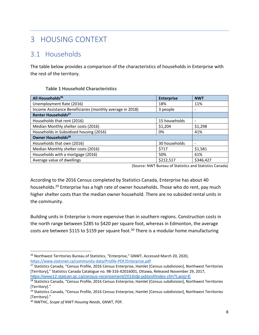# <span id="page-12-0"></span>3 HOUSING CONTEXT

### <span id="page-12-1"></span>3.1 Households

The table below provides a comparison of the characteristics of households in Enterprise with the rest of the territory.

#### **Table 1 Household Characteristics**

<span id="page-12-2"></span>

| All Households <sup>26</sup>                              | <b>Enterprise</b> | <b>NWT</b>               |
|-----------------------------------------------------------|-------------------|--------------------------|
| Unemployment Rate (2016)                                  | 18%               | 11%                      |
| Income Assistance Beneficiaries (monthly average in 2018) | 3 people          |                          |
| Renter Households <sup>27</sup>                           |                   |                          |
| Households that rent (2016)                               | 15 households     | $\overline{\phantom{0}}$ |
| Median Monthly shelter costs (2016)                       | \$1,204           | \$1,298                  |
| Households in Subsidized housing (2016)                   | 0%                | 41%                      |
| Owner Households <sup>28</sup>                            |                   |                          |
| Households that own (2016)                                | 30 households     | $\overline{\phantom{0}}$ |
| Median Monthly shelter costs (2016)                       | \$717             | \$1,581                  |
| Households with a mortgage (2016)                         | 50%               | 61%                      |
| Average value of dwellings                                | \$212,517         | \$346,427                |

(Source: NWT Bureau of Statistics and Statistics Canada)

According to the 2016 Census completed by Statistics Canada, Enterprise has about 40 households.<sup>29</sup> Enterprise has a high rate of owner households. Those who do rent, pay much higher shelter costs than the median owner household. There are no subsided rental units in the community.

Building units in Enterprise is more expensive than in southern regions. Construction costs in the north range between \$285 to \$420 per square foot, whereas in Edmonton, the average costs are between \$115 to \$159 per square foot.<sup>30</sup> There is a modular home manufacturing

<sup>&</sup>lt;sup>26</sup> Northwest Territories Bureau of Statistics, "Enterprise," GNWT, Accessed March 20, 2020, <https://www.statsnwt.ca/community-data/Profile-PDF/Enterprise.pdf>

<sup>&</sup>lt;sup>27</sup> Statistics Canada, "Census Profile, 2016 Census Enterprise, Hamlet [Census subdivision], Northwest Territories [Territory]," Statistics Canada Catalogue no. 98-316-X2016001, Ottawa, Released November 29, 2017, <https://www12.statcan.gc.ca/census-recensement/2016/dp-pd/prof/index.cfm?Lang=E>

<sup>&</sup>lt;sup>28</sup> Statistics Canada, "Census Profile, 2016 Census Enterprise, Hamlet [Census subdivision], Northwest Territories [Territory]."

<sup>&</sup>lt;sup>29</sup> Statistics Canada, "Census Profile, 2016 Census Enterprise, Hamlet [Census subdivision], Northwest Territories [Territory]."

<sup>30</sup> NWTHC, *Scope of NWT Housing Needs*, GNWT, PDF.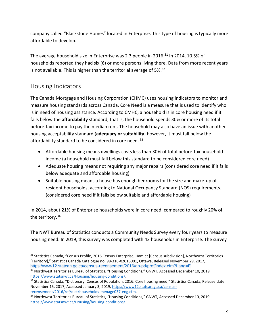company called "Blackstone Homes" located in Enterprise. This type of housing is typically more affordable to develop.

The average household size in Enterprise was 2.3 people in 2016.<sup>31</sup> In 2014, 10.5% of households reported they had six (6) or more persons living there. Data from more recent years is not available. This is higher than the territorial average of 5%.<sup>32</sup>

### Housing Indicators

The Canada Mortgage and Housing Corporation (CHMC) uses housing indicators to monitor and measure housing standards across Canada. Core Need is a measure that is used to identify who is in need of housing assistance. According to CMHC, a household is in core housing need if it falls below the **affordability** standard, that is, the household spends 30% or more of its total before-tax income to pay the median rent. The household may also have an issue with another housing acceptability standard (**adequacy or suitability**) however, it must fall below the affordability standard to be considered in core need.<sup>33</sup>

- Affordable housing means dwellings costs less than 30% of total before-tax household income (a household must fall below this standard to be considered core need)
- Adequate housing means not requiring any major repairs (considered core need if it falls below adequate and affordable housing)
- Suitable housing means a house has enough bedrooms for the size and make-up of resident households, according to National Occupancy Standard (NOS) requirements. (considered core need if it falls below suitable and affordable housing)

In 2014, about **21%** of Enterprise households were in core need, compared to roughly 20% of the territory. 34

The NWT Bureau of Statistics conducts a Community Needs Survey every four years to measure housing need. In 2019, this survey was completed with 43 households in Enterprise. The survey

<sup>31</sup> Statistics Canada, "Census Profile, 2016 Census Enterprise, Hamlet [Census subdivision], Northwest Territories [Territory]," Statistics Canada Catalogue no. 98-316-X2016001, Ottawa, Released November 29, 2017, <https://www12.statcan.gc.ca/census-recensement/2016/dp-pd/prof/index.cfm?Lang=E>

<sup>&</sup>lt;sup>32</sup> Northwest Territories Bureau of Statistics, "Housing Conditions," GNWT, Accessed December 10, 2019 [https://www.statsnwt.ca/Housing/housing-conditions/.](https://www.statsnwt.ca/Housing/housing-conditions/)

<sup>33</sup> Statistics Canada, "Dictionary, Census of Population, 2016: Core housing need," Statistics Canada, Release date November 15, 2017, Accessed January 3, 2019, [https://www12.statcan.gc.ca/census](https://www12.statcan.gc.ca/census-recensement/2016/ref/dict/households-menage037-eng.cfm)[recensement/2016/ref/dict/households-menage037-eng.cfm.](https://www12.statcan.gc.ca/census-recensement/2016/ref/dict/households-menage037-eng.cfm)

<sup>34</sup> Northwest Territories Bureau of Statistics, "Housing Conditions," GNWT, Accessed December 10, 2019 [https://www.statsnwt.ca/Housing/housing-conditions/.](https://www.statsnwt.ca/Housing/housing-conditions/)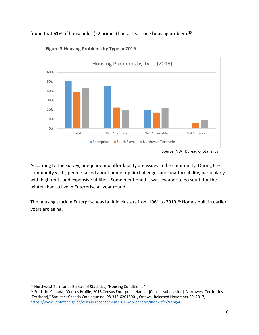<span id="page-14-0"></span>found that **51%** of households (22 homes) had at least one housing problem.<sup>35</sup>



**Figure 3 Housing Problems by Type in 2019** 

According to the survey, adequacy and affordability are issues in the community. During the community visits, people talked about home repair challenges and unaffordability, particularly with high rents and expensive utilities. Some mentioned it was cheaper to go south for the winter than to live in Enterprise all year round.

The housing stock in Enterprise was built in clusters from 1961 to 2010. <sup>36</sup> Homes built in earlier years are aging.

<sup>&</sup>lt;sup>35</sup> Northwest Territories Bureau of Statistics, "Housing Conditions."

<sup>36</sup> Statistics Canada, "Census Profile, 2016 Census Enterprise, Hamlet [Census subdivision], Northwest Territories [Territory]," Statistics Canada Catalogue no. 98-316-X2016001, Ottawa, Released November 29, 2017, <https://www12.statcan.gc.ca/census-recensement/2016/dp-pd/prof/index.cfm?Lang=E>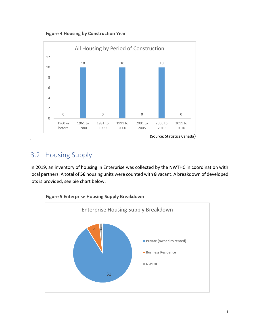**Figure 4 Housing by Construction Year**

<span id="page-15-1"></span>

### <span id="page-15-0"></span>3.2 Housing Supply

5

In 2019, an inventory of housing in Enterprise was collected by the NWTHC in coordination with local partners. A total of **56** housing units were counted with **8** vacant. A breakdown of developed lots is provided, see pie chart below.



<span id="page-15-2"></span>**Figure 5 Enterprise Housing Supply Breakdown**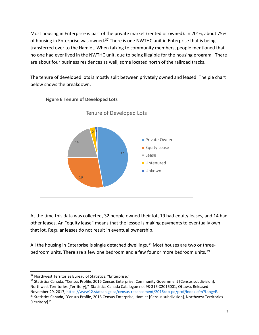Most housing in Enterprise is part of the private market (rented or owned). In 2016, about 75% of housing in Enterprise was owned.<sup>37</sup> There is one NWTHC unit in Enterprise that is being transferred over to the Hamlet. When talking to community members, people mentioned that no one had ever lived in the NWTHC unit, due to being illegible for the housing program. There are about four business residences as well, some located north of the railroad tracks.

The tenure of developed lots is mostly split between privately owned and leased. The pie chart below shows the breakdown.

<span id="page-16-0"></span>

#### **Figure 6 Tenure of Developed Lots**

At the time this data was collected, 32 people owned their lot, 19 had equity leases, and 14 had other leases. An "equity lease" means that the lessee is making payments to eventually own that lot. Regular leases do not result in eventual ownership.

All the housing in Enterprise is single detached dwellings.<sup>38</sup> Most houses are two or threebedroom units. There are a few one bedroom and a few four or more bedroom units.<sup>39</sup>

<sup>37</sup> Northwest Territories Bureau of Statistics, "Enterprise."

<sup>&</sup>lt;sup>38</sup> Statistics Canada, "Census Profile, 2016 Census Enterprise, Community Government [Census subdivision], Northwest Territories [Territory]," Statistics Canada Catalogue no. 98-316-X2016001, Ottawa, Released November 29, 2017, [https://www12.statcan.gc.ca/census-recensement/2016/dp-pd/prof/index.cfm?Lang=E.](https://www12.statcan.gc.ca/census-recensement/2016/dp-pd/prof/index.cfm?Lang=E)  <sup>39</sup> Statistics Canada, "Census Profile, 2016 Census Enterprise, Hamlet [Census subdivision], Northwest Territories [Territory]."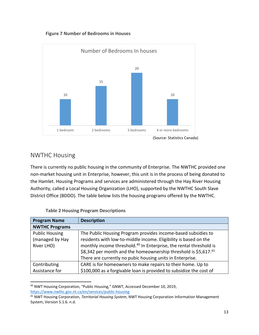

<span id="page-17-0"></span>

### NWTHC Housing

There is currently no public housing in the community of Enterprise. The NWTHC provided one non-market housing unit in Enterprise, however, this unit is in the process of being donated to the Hamlet. Housing Programs and services are administered through the Hay River Housing Authority, called a Local Housing Organization (LHO), supported by the NWTHC South Slave District Office (BDDO). The table below lists the housing programs offered by the NWTHC.

<span id="page-17-1"></span>

| <b>Program Name</b>   | <b>Description</b>                                                             |
|-----------------------|--------------------------------------------------------------------------------|
| <b>NWTHC Programs</b> |                                                                                |
| <b>Public Housing</b> | The Public Housing Program provides income-based subsidies to                  |
| (managed by Hay       | residents with low-to-middle income. Eligibility is based on the               |
| River LHO)            | monthly income threshold. <sup>40</sup> In Enterprise, the rental threshold is |
|                       | \$8,342 per month and the homeownership threshold is \$5,617.41                |
|                       | There are currently no pubic housing units in Enterprise.                      |
| Contributing          | CARE is for homeowners to make repairs to their home. Up to                    |
| Assistance for        | \$100,000 as a forgivable loan is provided to subsidize the cost of            |

#### **Table 2 Housing Program Descriptions**

<sup>40</sup> NWT Housing Corporation, "Public Housing," GNWT, Accessed December 10, 2019, <https://www.nwthc.gov.nt.ca/en/services/public-housing>

<sup>41</sup> NWT Housing Corporation, *Territorial Housing System*, NWT Housing Corporation Information Management System, Version 5.1.6. n.d.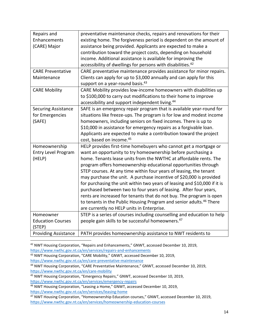| Repairs and<br>preventative maintenance checks, repairs and renovations for their<br>existing home. The forgiveness period is dependent on the amount of<br>Enhancements<br>(CARE) Major<br>assistance being provided. Applicants are expected to make a |
|----------------------------------------------------------------------------------------------------------------------------------------------------------------------------------------------------------------------------------------------------------|
|                                                                                                                                                                                                                                                          |
|                                                                                                                                                                                                                                                          |
|                                                                                                                                                                                                                                                          |
| contribution toward the project costs, depending on household                                                                                                                                                                                            |
| income. Additional assistance is available for improving the                                                                                                                                                                                             |
| accessibility of dwellings for persons with disabilities. <sup>42</sup>                                                                                                                                                                                  |
| CARE preventative maintenance provides assistance for minor repairs.<br><b>CARE Preventative</b>                                                                                                                                                         |
| Clients can apply for up to \$3,000 annually and can apply for this<br>Maintenance                                                                                                                                                                       |
| support on a year-round basis. <sup>43</sup>                                                                                                                                                                                                             |
| <b>CARE Mobility</b><br>CARE Mobility provides low-income homeowners with disabilities up                                                                                                                                                                |
| to \$100,000 to carry out modifications to their home to improve                                                                                                                                                                                         |
| accessibility and support independent living. <sup>44</sup>                                                                                                                                                                                              |
| <b>Securing Assistance</b><br>SAFE is an emergency repair program that is available year-round for                                                                                                                                                       |
| situations like freeze-ups. The program is for low and modest income<br>for Emergencies                                                                                                                                                                  |
| homeowners, including seniors on fixed incomes. There is up to<br>(SAFE)                                                                                                                                                                                 |
| \$10,000 in assistance for emergency repairs as a forgivable loan.                                                                                                                                                                                       |
| Applicants are expected to make a contribution toward the project                                                                                                                                                                                        |
| cost, based on income. <sup>45</sup>                                                                                                                                                                                                                     |
| HELP provides first-time homebuyers who cannot get a mortgage or<br>Homeownership                                                                                                                                                                        |
| <b>Entry Level Program</b><br>want an opportunity to try homeownership before purchasing a                                                                                                                                                               |
| home. Tenants lease units from the NWTHC at affordable rents. The<br>(HELP)                                                                                                                                                                              |
| program offers homeownership educational opportunities through                                                                                                                                                                                           |
| STEP courses. At any time within four years of leasing, the tenant                                                                                                                                                                                       |
| may purchase the unit. A purchase incentive of \$20,000 is provided                                                                                                                                                                                      |
| for purchasing the unit within two years of leasing and \$10,000 if it is                                                                                                                                                                                |
| purchased between two to four years of leasing. After four years,                                                                                                                                                                                        |
| rents are increased for tenants that do not buy. The program is open                                                                                                                                                                                     |
| to tenants in the Public Housing Program and senior adults. <sup>46</sup> There                                                                                                                                                                          |
| are currently no HELP units in Enterprise.                                                                                                                                                                                                               |
| STEP is a series of courses including counselling and education to help<br>Homeowner                                                                                                                                                                     |
| people gain skills to be successful homeowners. <sup>47</sup><br><b>Education Courses</b>                                                                                                                                                                |
| (STEP)                                                                                                                                                                                                                                                   |
| <b>Providing Assistance</b><br>PATH provides homeownership assistance to NWT residents to                                                                                                                                                                |

<sup>42</sup> NWT Housing Corporation, "Repairs and Enhancements," GNWT, accessed December 10, 2019, <https://www.nwthc.gov.nt.ca/en/services/repairs-and-enhancements>

<sup>43</sup> NWT Housing Corporation, "CARE Mobility," GNWT, accessed December 10, 2019, <https://www.nwthc.gov.nt.ca/en/care-preventative-maintenance>

<sup>44</sup> NWT Housing Corporation, "CARE Preventative Maintenance," GNWT, accessed December 10, 2019, <https://www.nwthc.gov.nt.ca/en/care-mobility>

<sup>45</sup> NWT Housing Corporation, "Emergency Repairs," GNWT, accessed December 10, 2019, <https://www.nwthc.gov.nt.ca/en/services/emergency-repairs>

<sup>46</sup> NWT Housing Corporation, "Leasing a Home," GNWT, accessed December 10, 2019, <https://www.nwthc.gov.nt.ca/en/services/leasing-home>

<sup>&</sup>lt;sup>47</sup> NWT Housing Corporation, "Homeownership Education courses," GNWT, accessed December 10, 2019, <https://www.nwthc.gov.nt.ca/en/services/homeownership-education-courses>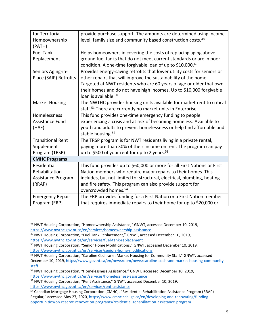| for Territorial<br>Homeownership | provide purchase support. The amounts are determined using income<br>level, family size and community based construction costs. <sup>48</sup> |
|----------------------------------|-----------------------------------------------------------------------------------------------------------------------------------------------|
| (PATH)                           |                                                                                                                                               |
| <b>Fuel Tank</b>                 | Helps homeowners in covering the costs of replacing aging above                                                                               |
| Replacement                      | ground fuel tanks that do not meet current standards or are in poor                                                                           |
|                                  | condition. A one-time forgivable loan of up to \$10,000.49                                                                                    |
| Seniors Aging-in-                | Provides energy-saving retrofits that lower utility costs for seniors or                                                                      |
| Place (SAIP) Retrofits           | other repairs that will improve the sustainability of the home.                                                                               |
|                                  | Targeted at NWT residents who are 60 years of age or older that own                                                                           |
|                                  | their homes and do not have high incomes. Up to \$10,000 forgivable                                                                           |
|                                  | loan is available. <sup>50</sup>                                                                                                              |
| <b>Market Housing</b>            | The NWTHC provides housing units available for market rent to critical                                                                        |
|                                  | staff. <sup>51</sup> There are currently no market units in Enterprise.                                                                       |
| Homelessness                     | This fund provides one-time emergency funding to people                                                                                       |
| Assistance Fund                  | experiencing a crisis and at risk of becoming homeless. Available to                                                                          |
| (HAF)                            | youth and adults to prevent homelessness or help find affordable and                                                                          |
|                                  | stable housing. <sup>52</sup>                                                                                                                 |
| <b>Transitional Rent</b>         | The TRSP program is for NWT residents living in a private rental,                                                                             |
| Supplement                       | paying more than 30% of their income on rent. The program can pay                                                                             |
| Program (TRSP)                   | up to \$500 of your rent for up to 2 years. $53$                                                                                              |
| <b>CMHC Programs</b>             |                                                                                                                                               |
| Residential                      | This fund provides up to \$60,000 or more for all First Nations or First                                                                      |
| Rehabilitation                   | Nation members who require major repairs to their homes. This                                                                                 |
| Assistance Program               | includes, but not limited to; structural, electrical, plumbing, heating                                                                       |
| (RRAP)                           | and fire safety. This program can also provide support for                                                                                    |
|                                  | overcrowded homes. <sup>54</sup>                                                                                                              |
| <b>Emergency Repair</b>          | The ERP provides funding for a First Nation or a First Nation member                                                                          |
| Program (ERP)                    | that requires immediate repairs to their home for up to \$20,000 or                                                                           |

<sup>48</sup> NWT Housing Corporation, "Homeownership Assistance," GNWT, accessed December 10, 2019, <https://www.nwthc.gov.nt.ca/en/services/homeownership-assistance>

<sup>49</sup> NWT Housing Corporation, "Fuel Tank Replacement," GNWT, accessed December 10, 2019, <https://www.nwthc.gov.nt.ca/en/services/fuel-tank-replacement>

<sup>&</sup>lt;sup>50</sup> NWT Housing Corporation, "Senior Home Modifications," GNWT, accessed December 10, 2019, <https://www.nwthc.gov.nt.ca/en/services/seniors-home-modifications>

<sup>51</sup> NWT Housing Corporation, "Caroline Cochrane: Market Housing for Community Staff," GNWT, accessed December 10, 2019, [https://www.gov.nt.ca/en/newsroom/news/caroline-cochrane-market-housing-community](https://www.gov.nt.ca/en/newsroom/news/caroline-cochrane-market-housing-community-staff)[staff](https://www.gov.nt.ca/en/newsroom/news/caroline-cochrane-market-housing-community-staff)

<sup>52</sup> NWT Housing Corporation, "Homelessness Assistance," GNWT, accessed December 10, 2019, <https://www.nwthc.gov.nt.ca/en/services/homelessness-assistance>

<sup>53</sup> NWT Housing Corporation, "Rent Assistance," GNWT, accessed December 10, 2019, <https://www.nwthc.gov.nt.ca/en/services/rent-assistance>

<sup>54</sup> Canadian Mortgage Housing Corporation (CMHC), "Residential Rehabilitation Assistance Program (RRAP) – Regular," accessed May 27, 2020, [https://www.cmhc-schl.gc.ca/en/developing-and-renovating/funding](https://www.cmhc-schl.gc.ca/en/developing-and-renovating/funding-opportunities/on-reserve-renovation-programs/residential-rehabilitation-assistance-program)[opportunities/on-reserve-renovation-programs/residential-rehabilitation-assistance-program](https://www.cmhc-schl.gc.ca/en/developing-and-renovating/funding-opportunities/on-reserve-renovation-programs/residential-rehabilitation-assistance-program)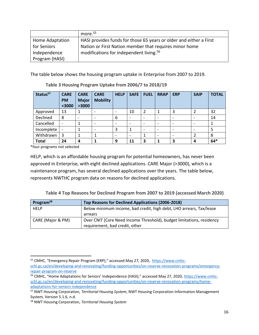|                 | more. <sup>55</sup>                                                |
|-----------------|--------------------------------------------------------------------|
| Home Adaptation | HASI provides funds for those 65 years or older and either a First |
| for Seniors     | Nation or First Nation member that requires minor home             |
| Independence    | modifications for independent living. <sup>56</sup>                |
| Program (HASI)  |                                                                    |

The table below shows the housing program uptake in Enterprise from 2007 to 2019.

<span id="page-20-0"></span>

| Status <sup>57</sup> | <b>CARE</b><br><b>PM</b><br>$3000$ | <b>CARE</b><br><b>Major</b><br>>3000 | <b>CARE</b><br><b>Mobility</b> | <b>HELP</b>              | <b>SAFE</b> | <b>FUEL</b> | <b>RRAP</b>              | <b>ERP</b>               | <b>SAIP</b>              | <b>TOTAL</b> |
|----------------------|------------------------------------|--------------------------------------|--------------------------------|--------------------------|-------------|-------------|--------------------------|--------------------------|--------------------------|--------------|
| Approved             | 13                                 |                                      |                                | $\overline{\phantom{a}}$ | 10          | 2           |                          | 3                        |                          | 32           |
| Declined             | 8                                  |                                      |                                | 6                        |             |             | $\overline{\phantom{0}}$ | $\overline{\phantom{a}}$ | $\overline{\phantom{0}}$ | 14           |
| Cancelled            | $\qquad \qquad \blacksquare$       |                                      |                                | $\overline{\phantom{a}}$ |             |             |                          | $\overline{\phantom{0}}$ |                          |              |
| Incomplete           | $\overline{\phantom{a}}$           |                                      | ۰                              | 3                        |             |             | ۰                        | $\overline{\phantom{0}}$ | $\overline{\phantom{0}}$ | 5            |
| Withdrawn            | 3                                  |                                      | 1                              | $\overline{\phantom{0}}$ |             |             |                          | $\overline{\phantom{0}}$ |                          | 8            |
| <b>Total</b>         | 24                                 | 4                                    |                                | 9                        | 11          | 3           |                          | 3                        | 4                        | $64*$        |

**Table 3 Housing Program Uptake from 2006/7 to 2018/19**

\*four programs not selected

HELP, which is an affordable housing program for potential homeowners, has never been approved in Enterprise, with eight declined applications. CARE Major (>3000), which is a maintenance program, has several declined applications over the years. The table below, represents NWTHC program data on reasons for declined applications.

**Table 4 Top Reasons for Declined Program from 2007 to 2019 (accessed March 2020)**

<span id="page-20-1"></span>

| Program <sup>58</sup> | Top Reasons for Declined Applications (2006-2018)                                                       |
|-----------------------|---------------------------------------------------------------------------------------------------------|
| <b>HELP</b>           | Below minimum income, bad credit, high debt, LHO arrears, Tax/lease                                     |
|                       | arrears                                                                                                 |
| CARE (Major & PM)     | Over CNIT (Core Need Income Threshold), budget limitations, residency<br>requirement, bad credit, other |

<sup>&</sup>lt;sup>55</sup> CMHC, "Emergency Repair Program (ERP)," accessed May 27, 2020, [https://www.cmhc-](https://www.cmhc-schl.gc.ca/en/developing-and-renovating/funding-opportunities/on-reserve-renovation-programs/emergency-repair-program-on-reserve)

[schl.gc.ca/en/developing-and-renovating/funding-opportunities/on-reserve-renovation-programs/emergency](https://www.cmhc-schl.gc.ca/en/developing-and-renovating/funding-opportunities/on-reserve-renovation-programs/emergency-repair-program-on-reserve)[repair-program-on-reserve](https://www.cmhc-schl.gc.ca/en/developing-and-renovating/funding-opportunities/on-reserve-renovation-programs/emergency-repair-program-on-reserve)

<sup>&</sup>lt;sup>56</sup> CMHC, "Home Adaptations for Seniors' Independence (HASI)," accessed May 27, 2020, [https://www.cmhc](https://www.cmhc-schl.gc.ca/en/developing-and-renovating/funding-opportunities/on-reserve-renovation-programs/home-adaptations-for-seniors-independence)[schl.gc.ca/en/developing-and-renovating/funding-opportunities/on-reserve-renovation-programs/home](https://www.cmhc-schl.gc.ca/en/developing-and-renovating/funding-opportunities/on-reserve-renovation-programs/home-adaptations-for-seniors-independence)[adaptations-for-seniors-independence](https://www.cmhc-schl.gc.ca/en/developing-and-renovating/funding-opportunities/on-reserve-renovation-programs/home-adaptations-for-seniors-independence)

<sup>57</sup> NWT Housing Corporation, *Territorial Housing System*, NWT Housing Corporation Information Management System, Version 5.1.6, n.d.

<sup>58</sup> NWT Housing Corporation, *Territorial Housing System*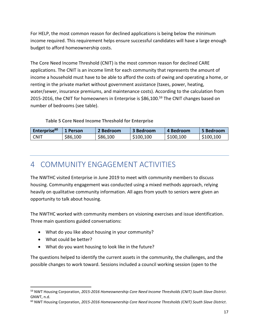For HELP, the most common reason for declined applications is being below the minimum income required. This requirement helps ensure successful candidates will have a large enough budget to afford homeownership costs.

The Core Need Income Threshold (CNIT) is the most common reason for declined CARE applications. The CNIT is an income limit for each community that represents the amount of income a household must have to be able to afford the costs of owing and operating a home, or renting in the private market without government assistance (taxes, power, heating, water/sewer, insurance premiums, and maintenance costs). According to the calculation from 2015-2016, the CNIT for homeowners in Enterprise is \$86,100. <sup>59</sup> The CNIT changes based on number of bedrooms (see table).

#### **Table 5 Core Need Income Threshold for Enterprise**

<span id="page-21-1"></span>

| Enterprise <sup>60</sup> | 1 Person | 2 Bedroom | 3 Bedroom | 4 Bedroom | 5 Bedroom |
|--------------------------|----------|-----------|-----------|-----------|-----------|
| <b>CNIT</b>              | \$86,100 | \$86,100  | \$100,100 | \$100,100 | \$100,100 |

### <span id="page-21-0"></span>4 COMMUNITY ENGAGEMENT ACTIVITIES

The NWTHC visited Enterprise in June 2019 to meet with community members to discuss housing. Community engagement was conducted using a mixed methods approach, relying heavily on qualitative community information. All ages from youth to seniors were given an opportunity to talk about housing.

The NWTHC worked with community members on visioning exercises and issue identification. Three main questions guided conversations:

- What do you like about housing in your community?
- What could be better?
- What do you want housing to look like in the future?

The questions helped to identify the current assets in the community, the challenges, and the possible changes to work toward. Sessions included a council working session (open to the

<sup>59</sup> NWT Housing Corporation, *2015-2016 Homeownership Core Need Income Thresholds (CNIT) South Slave District*. GNWT, n.d.

<sup>60</sup> NWT Housing Corporation, *2015-2016 Homeownership Core Need Income Thresholds (CNIT) South Slave District*.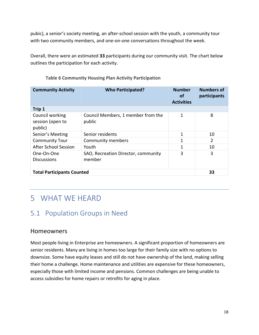pubic), a senior's society meeting, an after-school session with the youth, a community tour with two community members, and one-on-one conversations throughout the week.

Overall, there were an estimated **33** participants during our community visit. The chart below outlines the participation for each activity.

<span id="page-22-2"></span>

| <b>Community Activity</b>                      | <b>Who Participated?</b>                      | <b>Number</b><br>of<br><b>Activities</b> |                |  |
|------------------------------------------------|-----------------------------------------------|------------------------------------------|----------------|--|
| Trip 1                                         |                                               |                                          |                |  |
| Council working<br>session (open to<br>public) | Council Members, 1 member from the<br>public  | 1                                        | 8              |  |
| Senior's Meeting                               | Senior residents                              | 1                                        | 10             |  |
| <b>Community Tour</b>                          | Community members                             | 1                                        | $\overline{2}$ |  |
| <b>After School Session</b>                    | Youth                                         | 1                                        | 10             |  |
| One-On-One<br><b>Discussions</b>               | SAO, Recreation Director, community<br>member | 3                                        | 3              |  |
| <b>Total Participants Counted</b>              |                                               |                                          | 33             |  |

#### **Table 6 Community Housing Plan Activity Participation**

# <span id="page-22-0"></span>5 WHAT WE HEARD

### <span id="page-22-1"></span>5.1 Population Groups in Need

### **Homeowners**

Most people living in Enterprise are homeowners. A significant proportion of homeowners are senior residents. Many are living in homes too large for their family size with no options to downsize. Some have equity leases and still do not have ownership of the land, making selling their home a challenge. Home maintenance and utilities are expensive for these homeowners, especially those with limited income and pensions. Common challenges are being unable to access subsidies for home repairs or retrofits for aging in place.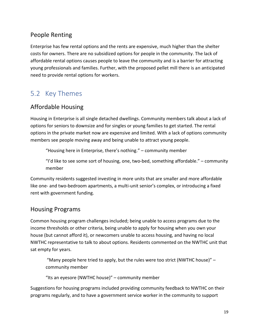### People Renting

Enterprise has few rental options and the rents are expensive, much higher than the shelter costs for owners. There are no subsidized options for people in the community. The lack of affordable rental options causes people to leave the community and is a barrier for attracting young professionals and families. Further, with the proposed pellet mill there is an anticipated need to provide rental options for workers.

### <span id="page-23-0"></span>5.2 Key Themes

### Affordable Housing

Housing in Enterprise is all single detached dwellings. Community members talk about a lack of options for seniors to downsize and for singles or young families to get started. The rental options in the private market now are expensive and limited. With a lack of options community members see people moving away and being unable to attract young people.

"Housing here in Enterprise, there's nothing." – community member

"I'd like to see some sort of housing, one, two-bed, something affordable." – community member

Community residents suggested investing in more units that are smaller and more affordable like one- and two-bedroom apartments, a multi-unit senior's complex, or introducing a fixed rent with government funding.

### Housing Programs

Common housing program challenges included; being unable to access programs due to the income thresholds or other criteria, being unable to apply for housing when you own your house (but cannot afford it), or newcomers unable to access housing, and having no local NWTHC representative to talk to about options. Residents commented on the NWTHC unit that sat empty for years.

"Many people here tried to apply, but the rules were too strict (NWTHC house)"  $$ community member

"Its an eyesore (NWTHC house)" – community member

Suggestions for housing programs included providing community feedback to NWTHC on their programs regularly, and to have a government service worker in the community to support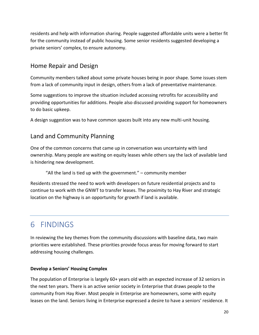residents and help with information sharing. People suggested affordable units were a better fit for the community instead of public housing. Some senior residents suggested developing a private seniors' complex, to ensure autonomy.

### Home Repair and Design

Community members talked about some private houses being in poor shape. Some issues stem from a lack of community input in design, others from a lack of preventative maintenance.

Some suggestions to improve the situation included accessing retrofits for accessibility and providing opportunities for additions. People also discussed providing support for homeowners to do basic upkeep.

A design suggestion was to have common spaces built into any new multi-unit housing.

### Land and Community Planning

One of the common concerns that came up in conversation was uncertainty with land ownership. Many people are waiting on equity leases while others say the lack of available land is hindering new development.

"All the land is tied up with the government." – community member

Residents stressed the need to work with developers on future residential projects and to continue to work with the GNWT to transfer leases. The proximity to Hay River and strategic location on the highway is an opportunity for growth if land is available.

# <span id="page-24-0"></span>6 FINDINGS

In reviewing the key themes from the community discussions with baseline data, two main priorities were established. These priorities provide focus areas for moving forward to start addressing housing challenges.

#### **Develop a Seniors' Housing Complex**

The population of Enterprise is largely 60+ years old with an expected increase of 32 seniors in the next ten years. There is an active senior society in Enterprise that draws people to the community from Hay River. Most people in Enterprise are homeowners, some with equity leases on the land. Seniors living in Enterprise expressed a desire to have a seniors' residence. It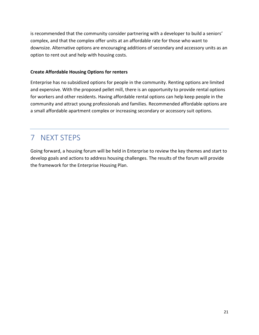is recommended that the community consider partnering with a developer to build a seniors' complex, and that the complex offer units at an affordable rate for those who want to downsize. Alternative options are encouraging additions of secondary and accessory units as an option to rent out and help with housing costs.

#### **Create Affordable Housing Options for renters**

Enterprise has no subsidized options for people in the community. Renting options are limited and expensive. With the proposed pellet mill, there is an opportunity to provide rental options for workers and other residents. Having affordable rental options can help keep people in the community and attract young professionals and families. Recommended affordable options are a small affordable apartment complex or increasing secondary or accessory suit options.

# <span id="page-25-0"></span>7 NEXT STEPS

Going forward, a housing forum will be held in Enterprise to review the key themes and start to develop goals and actions to address housing challenges. The results of the forum will provide the framework for the Enterprise Housing Plan.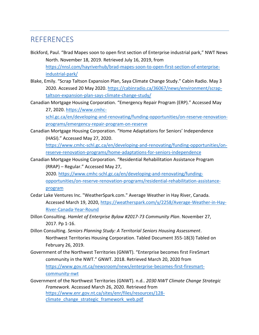### <span id="page-26-0"></span>**REFERENCES**

- Bickford, Paul. "Brad Mapes soon to open first section of Enterprise industrial park," NWT News North. November 18, 2019. Retrieved July 16, 2019, from [https://nnsl.com/hayriverhub/brad-mapes-soon-to-open-first-section-of-enterprise](https://nnsl.com/hayriverhub/brad-mapes-soon-to-open-first-section-of-enterprise-industrial-park/)[industrial-park/](https://nnsl.com/hayriverhub/brad-mapes-soon-to-open-first-section-of-enterprise-industrial-park/)
- Blake, Emily. "Scrap Taltson Expansion Plan, Saya Climate Change Study." Cabin Radio. May 3 2020. Accessed 20 May 2020[. https://cabinradio.ca/36067/news/environment/scrap](https://cabinradio.ca/36067/news/environment/scrap-taltson-expansion-plan-says-climate-change-study/)[taltson-expansion-plan-says-climate-change-study/](https://cabinradio.ca/36067/news/environment/scrap-taltson-expansion-plan-says-climate-change-study/)
- Canadian Mortgage Housing Corporation. "Emergency Repair Program (ERP)." Accessed May 27, 2020. [https://www.cmhc-](file:///C:/Users/janelle_derksen/Downloads/CMHC,%20“Residential%20Rehabilitation%20Assistance%20Program%20(RRAP)%20–%20Regular,”%20accessed%20May%2027,%202020,%20https:/www.cmhc-schl.gc.ca/en/developing-and-renovating/funding-opportunities/on-reserve-renovation-programs/residential-rehabilitation-assistance-program%20%20%20%20%20CMHC,%20“Emergency%20Repair%20Program%20(ERP),”%20accessed%20May%2027,%202020,%20%20https:/www.cmhc-schl.gc.ca/en/developing-and-renovating/funding-opportunities/on-reserve-renovation-programs/emergency-repair-program-on-reserve%20%20%20%20CMHC,%20“Home%20Adaptations%20for%20Seniors’%20Independence%20(HASI),”%20accessed%20May%2027,%202020,%20https:/www.cmhc-schl.gc.ca/en/developing-and-renovating/funding-opportunities/on-reserve-renovation-programs/home-adaptations-for-seniors-independence)

[schl.gc.ca/en/developing-and-renovating/funding-opportunities/on-reserve-renovation](file:///C:/Users/janelle_derksen/Downloads/CMHC,%20“Residential%20Rehabilitation%20Assistance%20Program%20(RRAP)%20–%20Regular,”%20accessed%20May%2027,%202020,%20https:/www.cmhc-schl.gc.ca/en/developing-and-renovating/funding-opportunities/on-reserve-renovation-programs/residential-rehabilitation-assistance-program%20%20%20%20%20CMHC,%20“Emergency%20Repair%20Program%20(ERP),”%20accessed%20May%2027,%202020,%20%20https:/www.cmhc-schl.gc.ca/en/developing-and-renovating/funding-opportunities/on-reserve-renovation-programs/emergency-repair-program-on-reserve%20%20%20%20CMHC,%20“Home%20Adaptations%20for%20Seniors’%20Independence%20(HASI),”%20accessed%20May%2027,%202020,%20https:/www.cmhc-schl.gc.ca/en/developing-and-renovating/funding-opportunities/on-reserve-renovation-programs/home-adaptations-for-seniors-independence)[programs/emergency-repair-program-on-reserve](file:///C:/Users/janelle_derksen/Downloads/CMHC,%20“Residential%20Rehabilitation%20Assistance%20Program%20(RRAP)%20–%20Regular,”%20accessed%20May%2027,%202020,%20https:/www.cmhc-schl.gc.ca/en/developing-and-renovating/funding-opportunities/on-reserve-renovation-programs/residential-rehabilitation-assistance-program%20%20%20%20%20CMHC,%20“Emergency%20Repair%20Program%20(ERP),”%20accessed%20May%2027,%202020,%20%20https:/www.cmhc-schl.gc.ca/en/developing-and-renovating/funding-opportunities/on-reserve-renovation-programs/emergency-repair-program-on-reserve%20%20%20%20CMHC,%20“Home%20Adaptations%20for%20Seniors’%20Independence%20(HASI),”%20accessed%20May%2027,%202020,%20https:/www.cmhc-schl.gc.ca/en/developing-and-renovating/funding-opportunities/on-reserve-renovation-programs/home-adaptations-for-seniors-independence)

Canadian Mortgage Housing Corporation. "Home Adaptations for Seniors' Independence (HASI)." Accessed May 27, 2020.

[https://www.cmhc-schl.gc.ca/en/developing-and-renovating/funding-opportunities/on](https://www.cmhc-schl.gc.ca/en/developing-and-renovating/funding-opportunities/on-reserve-renovation-programs/home-adaptations-for-seniors-independence)[reserve-renovation-programs/home-adaptations-for-seniors-independence](https://www.cmhc-schl.gc.ca/en/developing-and-renovating/funding-opportunities/on-reserve-renovation-programs/home-adaptations-for-seniors-independence)

Canadian Mortgage Housing Corporation. "Residential Rehabilitation Assistance Program (RRAP) – Regular." Accessed May 27,

2020. [https://www.cmhc-schl.gc.ca/en/developing-and-renovating/funding](https://www.cmhc-schl.gc.ca/en/developing-and-renovating/funding-opportunities/on-reserve-renovation-programs/residential-rehabilitation-assistance-program)[opportunities/on-reserve-renovation-programs/residential-rehabilitation-assistance](https://www.cmhc-schl.gc.ca/en/developing-and-renovating/funding-opportunities/on-reserve-renovation-programs/residential-rehabilitation-assistance-program)[program](https://www.cmhc-schl.gc.ca/en/developing-and-renovating/funding-opportunities/on-reserve-renovation-programs/residential-rehabilitation-assistance-program)

- Cedar Lake Ventures Inc. "WeatherSpark.com." Average Weather in Hay River, Canada. Accessed March 19, 2020, [https://weatherspark.com/y/2258/Average-Weather-in-Hay-](https://weatherspark.com/y/2258/Average-Weather-in-Hay-River-Canada-Year-Round)[River-Canada-Year-Round](https://weatherspark.com/y/2258/Average-Weather-in-Hay-River-Canada-Year-Round)
- Dillon Consulting. *Hamlet of Enterprise Bylaw #2017-73 Community Plan*. November 27, 2017. Pp 1-16.
- Dillon Consulting. *Seniors Planning Study: A Territorial Seniors Housing Assessment*. Northwest Territories Housing Corporation. Tabled Document 355-18(3) Tabled on February 26, 2019.
- Government of the Northwest Territories (GNWT). "Enterprise becomes first FireSmart community in the NWT." GNWT. 2018. Retrieved March 20, 2020 from [https://www.gov.nt.ca/newsroom/news/enterprise-becomes-first-firesmart](https://www.gov.nt.ca/newsroom/news/enterprise-becomes-first-firesmart-community-nwt)[community-nwt](https://www.gov.nt.ca/newsroom/news/enterprise-becomes-first-firesmart-community-nwt)
- Government of the Northwest Territories (GNWT). n.d.. *2030 NWT Climate Change Strategic Framework.* Accessed March 26, 2020. Retrieved from [https://www.enr.gov.nt.ca/sites/enr/files/resources/128](https://www.enr.gov.nt.ca/sites/enr/files/resources/128-climate_change_strategic_framework_web.pdf) climate change strategic framework web.pdf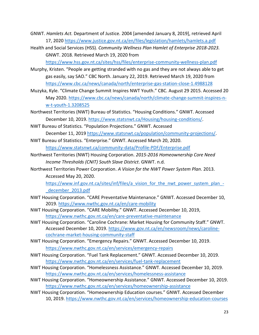- GNWT. *Hamlets Act.* Department of Justice. 2004 [amended January 8, 2019], retrieved April 17, 2020<https://www.justice.gov.nt.ca/en/files/legislation/hamlets/hamlets.a.pdf>
- Health and Social Services (HSS). *Community Wellness Plan Hamlet of Enterprise 2018-2023.* GNWT. 2018. Retrieved March 19, 2020 from

<https://www.hss.gov.nt.ca/sites/hss/files/enterprise-community-wellness-plan.pdf>

- Murphy, Kristen. "People are getting stranded with no gas and they are not always able to get gas easily, say SAO." CBC North. January 22, 2019. Retrieved March 19, 2020 from <https://www.cbc.ca/news/canada/north/enterprise-gas-station-close-1.4988128>
- Muzyka, Kyle. "Climate Change Summit Inspires NWT Youth." CBC. August 29 2015. Accessed 20 May 2020. [https://www.cbc.ca/news/canada/north/climate-change-summit-inspires-n](https://www.cbc.ca/news/canada/north/climate-change-summit-inspires-n-w-t-youth-1.3208525)[w-t-youth-1.3208525](https://www.cbc.ca/news/canada/north/climate-change-summit-inspires-n-w-t-youth-1.3208525)
- Northwest Territories (NWT) Bureau of Statistics. "Housing Conditions." GNWT. Accessed December 10, 2019. [https://www.statsnwt.ca/Housing/housing-conditions/.](https://www.statsnwt.ca/Housing/housing-conditions/)
- NWT Bureau of Statistics. "Population Projections." GNWT. Accessed December 11, 2019 [https://www.statsnwt.ca/population/community-projections/.](https://www.statsnwt.ca/population/community-projections/)
- NWT Bureau of Statistics. "Enterprise." GNWT. Accessed March 20, 2020. <https://www.statsnwt.ca/community-data/Profile-PDF/Enterprise.pdf>
- Northwest Territories (NWT) Housing Corporation. *2015-2016 Homeownership Core Need Income Thresholds (CNIT) South Slave District*. GNWT. n.d.
- Northwest Territories Power Corporation. *A Vision for the NWT Power System Plan*. 2013. Accessed May 20, 2020.
	- [https://www.inf.gov.nt.ca/sites/inf/files/a\\_vision\\_for\\_the\\_nwt\\_power\\_system\\_plan\\_-](https://www.inf.gov.nt.ca/sites/inf/files/a_vision_for_the_nwt_power_system_plan_-_december_2013.pdf) [\\_december\\_2013.pdf](https://www.inf.gov.nt.ca/sites/inf/files/a_vision_for_the_nwt_power_system_plan_-_december_2013.pdf)
- NWT Housing Corporation. "CARE Preventative Maintenance." GNWT. Accessed December 10, 2019.<https://www.nwthc.gov.nt.ca/en/care-mobility>
- NWT Housing Corporation. "CARE Mobility." GNWT. Accessed December 10, 2019, <https://www.nwthc.gov.nt.ca/en/care-preventative-maintenance>
- NWT Housing Corporation. "Caroline Cochrane: Market Housing for Community Staff." GNWT. Accessed December 10, 2019. [https://www.gov.nt.ca/en/newsroom/news/caroline](https://www.gov.nt.ca/en/newsroom/news/caroline-cochrane-market-housing-community-staff)[cochrane-market-housing-community-staff](https://www.gov.nt.ca/en/newsroom/news/caroline-cochrane-market-housing-community-staff)
- NWT Housing Corporation. "Emergency Repairs." GNWT. Accessed December 10, 2019. <https://www.nwthc.gov.nt.ca/en/services/emergency-repairs>
- NWT Housing Corporation. "Fuel Tank Replacement." GNWT. Accessed December 10, 2019. <https://www.nwthc.gov.nt.ca/en/services/fuel-tank-replacement>
- NWT Housing Corporation. "Homelessness Assistance." GNWT. Accessed December 10, 2019. <https://www.nwthc.gov.nt.ca/en/services/homelessness-assistance>
- NWT Housing Corporation. "Homeownership Assistance." GNWT. Accessed December 10, 2019. <https://www.nwthc.gov.nt.ca/en/services/homeownership-assistance>
- NWT Housing Corporation. "Homeownership Education courses." GNWT. Accessed December 10, 2019.<https://www.nwthc.gov.nt.ca/en/services/homeownership-education-courses>